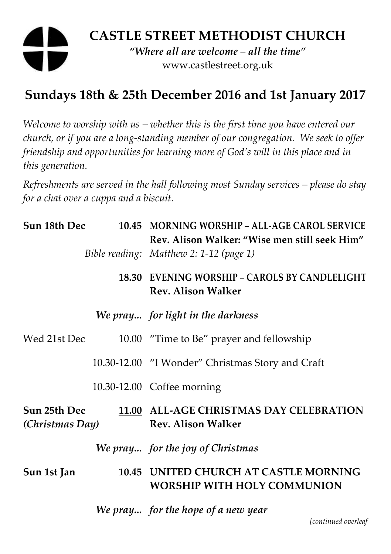## **CASTLE STREET METHODIST CHURCH**  *"Where all are welcome – all the time"*  www.castlestreet.org.uk

## **Sundays 18th & 25th December 2016 and 1st January 2017**

*Welcome to worship with us – whether this is the first time you have entered our church, or if you are a long-standing member of our congregation. We seek to offer friendship and opportunities for learning more of God's will in this place and in this generation.* 

*Refreshments are served in the hall following most Sunday services – please do stay for a chat over a cuppa and a biscuit.* 

| Sun 18th Dec                    |  | 10.45 MORNING WORSHIP - ALL-AGE CAROL SERVICE<br>Rev. Alison Walker: "Wise men still seek Him" |
|---------------------------------|--|------------------------------------------------------------------------------------------------|
|                                 |  | Bible reading: Matthew 2: 1-12 (page 1)                                                        |
|                                 |  | 18.30 EVENING WORSHIP - CAROLS BY CANDLELIGHT<br><b>Rev. Alison Walker</b>                     |
|                                 |  | We pray for light in the darkness                                                              |
| Wed 21st Dec                    |  | 10.00 "Time to Be" prayer and fellowship                                                       |
|                                 |  | 10.30-12.00 "I Wonder" Christmas Story and Craft                                               |
|                                 |  | 10.30-12.00 Coffee morning                                                                     |
| Sun 25th Dec<br>(Christmas Day) |  | 11.00 ALL-AGE CHRISTMAS DAY CELEBRATION<br><b>Rev. Alison Walker</b>                           |
|                                 |  | We pray for the joy of Christmas                                                               |
| Sun 1st Jan                     |  | 10.45 UNITED CHURCH AT CASTLE MORNING<br><b>WORSHIP WITH HOLY COMMUNION</b>                    |
|                                 |  | We pray for the hope of a new year                                                             |